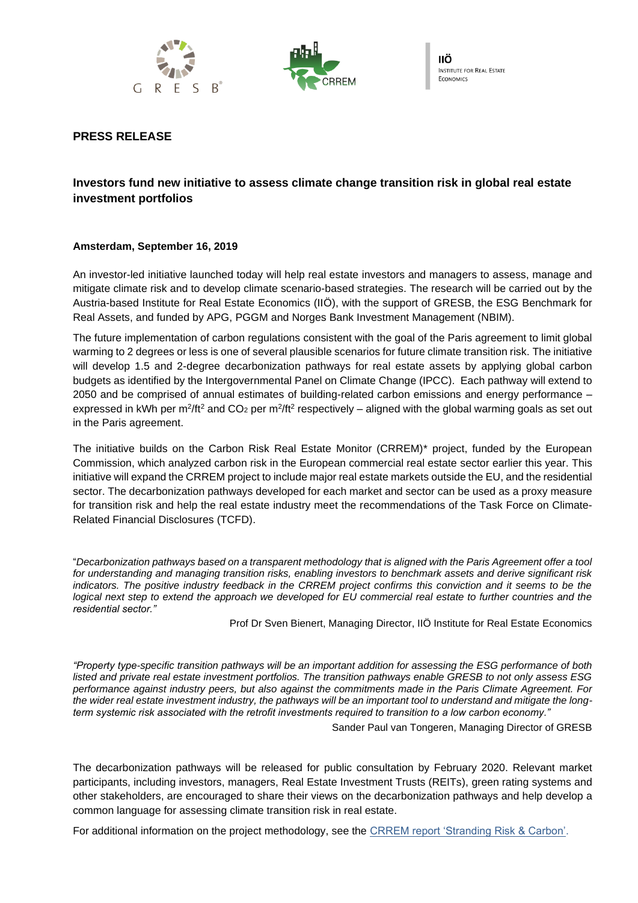



# **PRESS RELEASE**

# **Investors fund new initiative to assess climate change transition risk in global real estate investment portfolios**

## **Amsterdam, September 16, 2019**

An investor-led initiative launched today will help real estate investors and managers to assess, manage and mitigate climate risk and to develop climate scenario-based strategies. The research will be carried out by the Austria-based Institute for Real Estate Economics (IIÖ), with the support of GRESB, the ESG Benchmark for Real Assets, and funded by APG, PGGM and Norges Bank Investment Management (NBIM).

The future implementation of carbon regulations consistent with the goal of the Paris agreement to limit global warming to 2 degrees or less is one of several plausible scenarios for future climate transition risk. The initiative will develop 1.5 and 2-degree decarbonization pathways for real estate assets by applying global carbon budgets as identified by the Intergovernmental Panel on Climate Change (IPCC). Each pathway will extend to 2050 and be comprised of annual estimates of building-related carbon emissions and energy performance – expressed in kWh per m<sup>2</sup>/ft<sup>2</sup> and CO<sub>2</sub> per m<sup>2</sup>/ft<sup>2</sup> respectively – aligned with the global warming goals as set out in the Paris agreement.

The initiative builds on the Carbon Risk Real Estate Monitor (CRREM)\* project, funded by the European Commission, which analyzed carbon risk in the European commercial real estate sector earlier this year. This initiative will expand the CRREM project to include major real estate markets outside the EU, and the residential sector. The decarbonization pathways developed for each market and sector can be used as a proxy measure for transition risk and help the real estate industry meet the recommendations of the Task Force on Climate-Related Financial Disclosures (TCFD).

"*Decarbonization pathways based on a transparent methodology that is aligned with the Paris Agreement offer a tool for understanding and managing transition risks, enabling investors to benchmark assets and derive significant risk indicators. The positive industry feedback in the CRREM project confirms this conviction and it seems to be the logical next step to extend the approach we developed for EU commercial real estate to further countries and the residential sector."*

Prof Dr Sven Bienert, Managing Director, IIÖ Institute for Real Estate Economics

*"Property type-specific transition pathways will be an important addition for assessing the ESG performance of both listed and private real estate investment portfolios. The transition pathways enable GRESB to not only assess ESG performance against industry peers, but also against the commitments made in the Paris Climate Agreement. For the wider real estate investment industry, the pathways will be an important tool to understand and mitigate the longterm systemic risk associated with the retrofit investments required to transition to a low carbon economy."*

Sander Paul van Tongeren, Managing Director of GRESB

The decarbonization pathways will be released for public consultation by February 2020. Relevant market participants, including investors, managers, Real Estate Investment Trusts (REITs), green rating systems and other stakeholders, are encouraged to share their views on the decarbonization pathways and help develop a common language for assessing climate transition risk in real estate.

For additional information on the project methodology, see the [CRREM report 'Stranding Risk & Carbon'.](https://www.crrem.eu/wp-content/uploads/2019/09/CRREM-Stranding-Risk-Carbon-Science-based-decarbonising-of-the-EU-commercial-real-estate-sector.pdf)